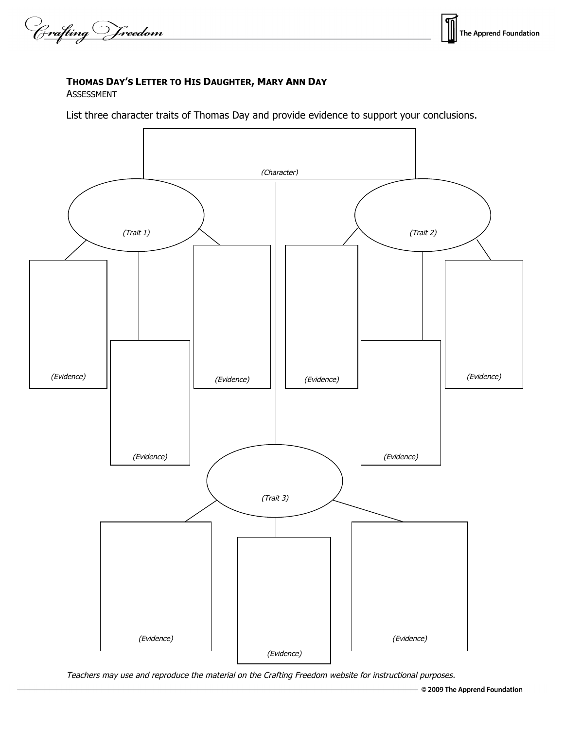Crafting Vreedom

## **THOMAS DAY'S LETTER TO HIS DAUGHTER, MARY ANN DAY**

ASSESSMENT

List three character traits of Thomas Day and provide evidence to support your conclusions.



Teachers may use and reproduce the material on the Crafting Freedom website for instructional purposes.